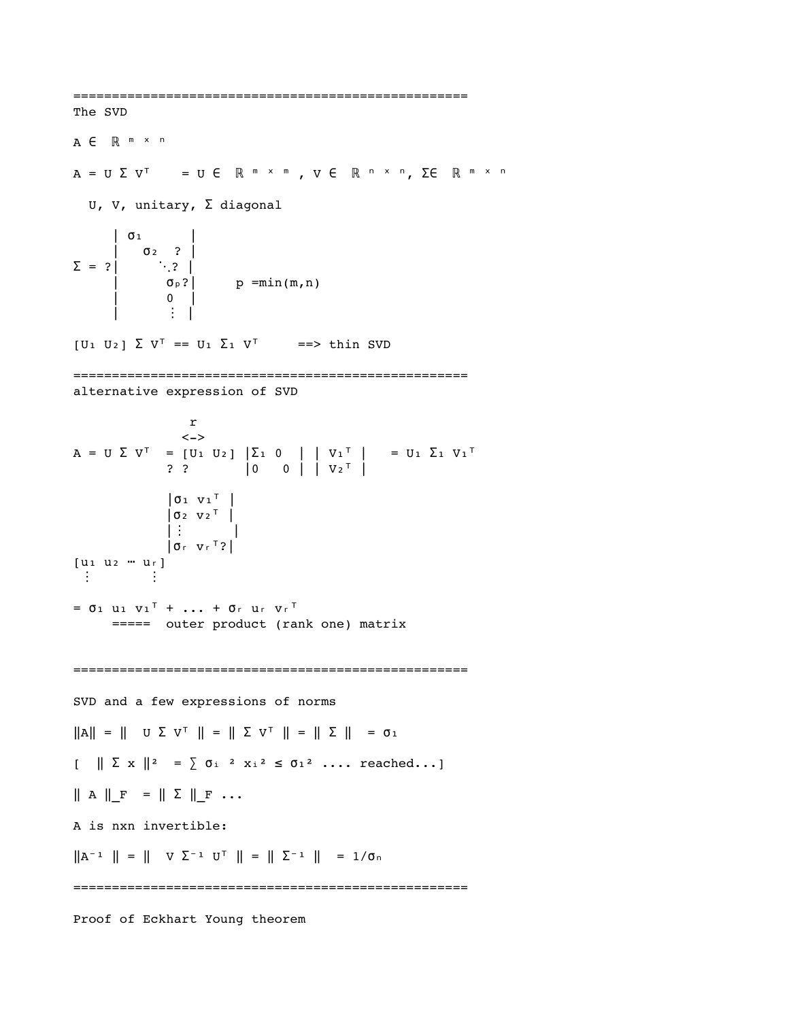=================================================== The SVD A  $\in$  R m x n  $A = U \Sigma V^{T} = U \in \mathbb{R}^{m \times m}$ ,  $V \in \mathbb{R}^{n \times n}$ ,  $\Sigma \in \mathbb{R}^{m \times n}$ U, V, unitary, Σ diagonal | | σ₁ | ? | σ₂    $\Sigma = ?$  |  $\sigma_p$ ? | p =min(m,n) | 0 |  $| \cdot |$   $| \cdot |$   $| \cdot |$   $| \cdot |$  $[U_1 \ U_2] \ \Sigma \ V^T = = U_1 \ \Sigma_1 \ V^T = = >> \text{thin} \text{SVD}$ =================================================== alternative expression of SVD r  $\left\langle -\right\rangle$  $A = U \Sigma V^{T} = [U_1 \ U_2] |\Sigma_1 \ 0 | |V_1^{T}| = U_1 \Sigma_1 V_1^{T}$  $\begin{array}{ccc} \text{?} & \text{?} & \text{?} & \text{?} \end{array}$  $| \sigma_1 \sigma_1^T |$  $|02 V2^T|$  $\| \cdot \| \cdot \| \cdot \| \cdot \|$  $|$   $\sigma$   $r$   $v$   $r$   $\sim$   $2$   $|$  $[u_1 u_2 ... u_r]$  ⋮ ⋮  $= 0$   $1$   $10$   $10^{T}$   $+$   $...$   $+ 0$   $r$   $10$   $r$   $r$ <sup>T</sup> ===== outer product (rank one) matrix =================================================== SVD and a few expressions of norms  $\|A\| \ = \ \| \quad \texttt{U} \ \Sigma \ \ \texttt{V}^\top \ \| \ = \ \| \ \Sigma \ \ \texttt{V}^\top \ \| \ = \ \| \ \Sigma \ \| \ \ = \ \texttt{01}$  $\left[\begin{array}{c|c} \ \ \end{array}\right] \left[\begin{array}{ccc} \ \ \end{array}\right] \left[\begin{array}{ccc} \ \ \end{array}\right]^{2} = \sum_{i=1}^{n} \sigma_{i}^{2} \left[\begin{array}{ccc} \ \ \end{array}\right]^{2} \left[\begin{array}{ccc} \ \ \end{array}\right]^{2} \cdots$  reached...  $\parallel$  A  $\parallel$  F =  $\parallel$   $\Sigma$   $\parallel$  F ... A is nxn invertible:  $\| A^{-1} \| = \| V \Sigma^{-1} U^{\top} \| = \| \Sigma^{-1} \| = 1/\sigma_n$ =================================================== Proof of Eckhart Young theorem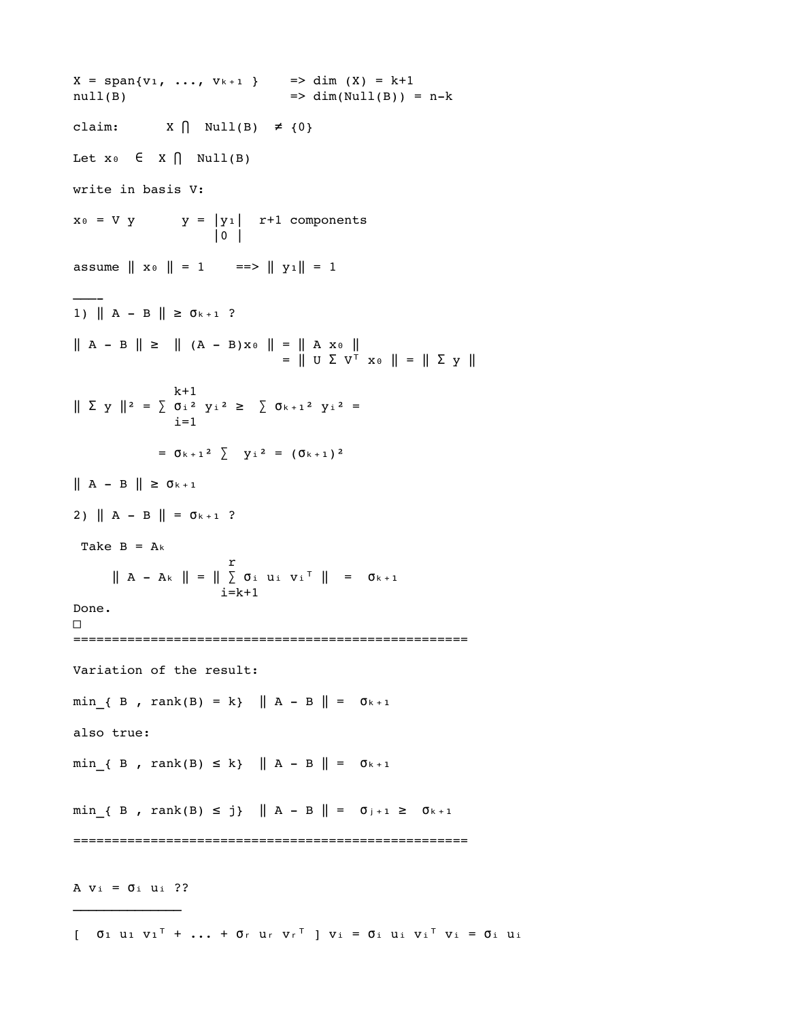$X = \text{span}\{v_1, ..., v_{k+1}\}$  => dim  $(X) = k+1$ null(B) => dim(Null(B)) = nk claim:  $X \bigcap Null(B) \neq \{0\}$ Let  $x \circ \in X \cap \text{Null}(B)$ write in basis V:  $x_0 = V y$  y = |yi| r+1 components  $|0|$ assume  $\| x_0 \| = 1$  =  $\| y_1 \| = 1$ ——— 1)  $\| A - B \| \ge \sigma_{k+1}$ ?  $\| A - B \| \ge \| (A - B) x \cdot \| = \| A x \cdot \|$  $=$   $\parallel$  U  $\sum$  V<sup>T</sup>  $\ge$   $\parallel$   $=$   $\parallel$   $\sum$   $\ge$   $\parallel$  $k+1$  $\parallel \; \Sigma \; y \; \parallel^2 \; = \; \sum \; \sigma_{\rm i} \; {}^2 \; \; y_{\rm i} \; {}^2 \; \geq \; \; \sum \; \sigma_{\rm k \; + \; 1} \; {}^2 \; \; y_{\rm i} \; {}^2 \; =$  $i=1$  $= 0 + 1^2$   $\sum y_i^2 = (0 + 1)^2$  $\parallel$  A - B  $\parallel$   $\geq$  0<sub>k+1</sub> 2)  $\| A - B \| = \sigma_{k+1}$ ? Take  $B = Ak$ r and a strong strong strong strong strong strong strong strong strong strong strong strong strong strong strong strong strong strong strong strong strong strong strong strong strong strong strong strong strong strong stro  $\| A - Ak \| = \| \sum \sigma_i u_i v_i^\top \| = \sigma_{k+1}$  i=k+1 Done. □ =================================================== Variation of the result: min { B , rank(B) = k}  $\|$  A - B  $\|$  =  $\sigma_{k+1}$ also true:  $min_{k}$   $\{ B, \text{ rank}(B) \le k \}$   $\| A - B \| = \sigma_{k+1}$  $min_{1}$   $\{ B$ ,  $rank(B) \leq j \}$   $|| A - B || = \sigma_{j+1} \geq \sigma_{k+1}$ =================================================== A  $v_i = \sigma_i$  ui ?? \_\_\_\_\_\_\_\_\_\_\_\_\_\_

 $[$   $0_1$   $u_1$   $v_1$ <sup>T</sup> + ... +  $0_r$   $u_r$   $v_r$ <sup>T</sup>  $]$   $v_i$  =  $0_i$   $u_i$   $u_i$   $v_i$   $v_i$  =  $0_i$   $u_i$